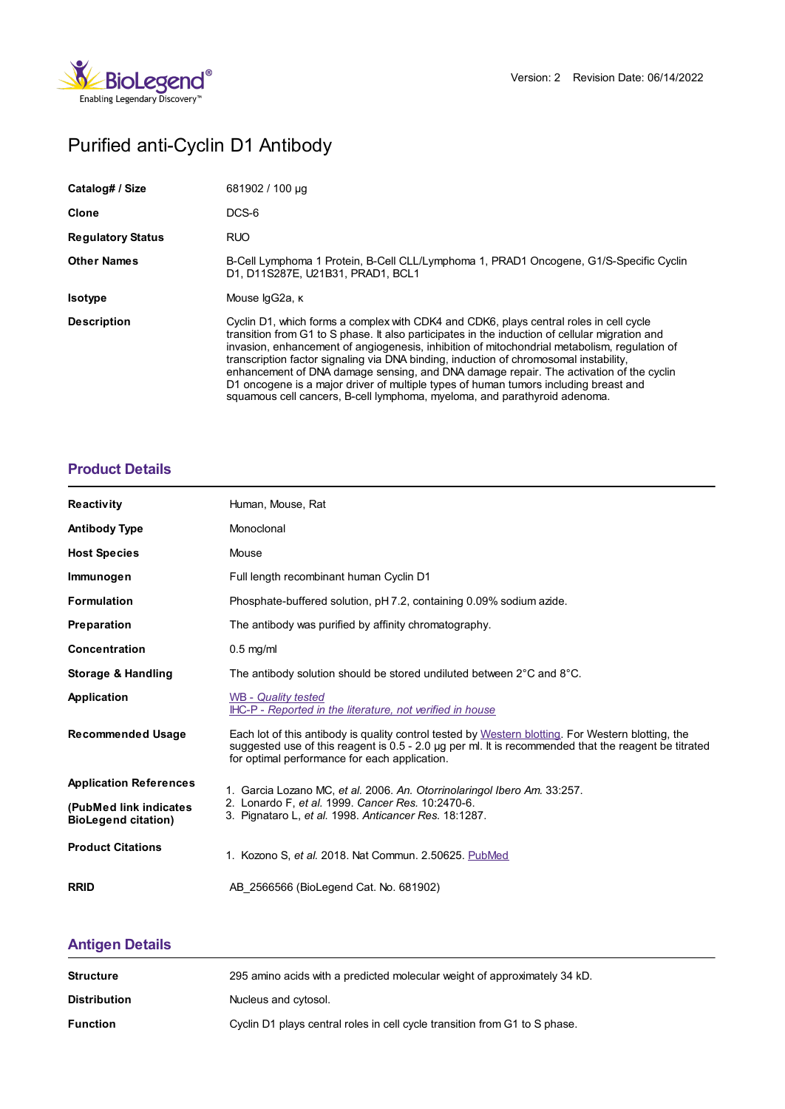

# Purified anti-Cyclin D1 Antibody

| Catalog# / Size          | 681902 / 100 µg                                                                                                                                                                                                                                                                                                                                                                                                                                                                                                                                                                                                                                  |
|--------------------------|--------------------------------------------------------------------------------------------------------------------------------------------------------------------------------------------------------------------------------------------------------------------------------------------------------------------------------------------------------------------------------------------------------------------------------------------------------------------------------------------------------------------------------------------------------------------------------------------------------------------------------------------------|
| Clone                    | DCS-6                                                                                                                                                                                                                                                                                                                                                                                                                                                                                                                                                                                                                                            |
| <b>Regulatory Status</b> | <b>RUO</b>                                                                                                                                                                                                                                                                                                                                                                                                                                                                                                                                                                                                                                       |
| <b>Other Names</b>       | B-Cell Lymphoma 1 Protein, B-Cell CLL/Lymphoma 1, PRAD1 Oncogene, G1/S-Specific Cyclin<br>D1. D11S287E. U21B31. PRAD1. BCL1                                                                                                                                                                                                                                                                                                                                                                                                                                                                                                                      |
| <b>Isotype</b>           | Mouse IgG2a, к                                                                                                                                                                                                                                                                                                                                                                                                                                                                                                                                                                                                                                   |
| <b>Description</b>       | Cyclin D1, which forms a complex with CDK4 and CDK6, plays central roles in cell cycle<br>transition from G1 to S phase. It also participates in the induction of cellular migration and<br>invasion, enhancement of angiogenesis, inhibition of mitochondrial metabolism, regulation of<br>transcription factor signaling via DNA binding, induction of chromosomal instability,<br>enhancement of DNA damage sensing, and DNA damage repair. The activation of the cyclin<br>D1 oncogene is a major driver of multiple types of human tumors including breast and<br>squamous cell cancers, B-cell lymphoma, myeloma, and parathyroid adenoma. |

#### **[Product](https://www.biolegend.com/en-us/products/purified-anti-cyclin-d1-antibody-12437?pdf=true&displayInline=true&leftRightMargin=15&topBottomMargin=15&filename=Purified anti-Cyclin D1 Antibody.pdf#productDetails) Details**

| <b>Reactivity</b>                                    | Human, Mouse, Rat                                                                                                                                                                                                                                           |
|------------------------------------------------------|-------------------------------------------------------------------------------------------------------------------------------------------------------------------------------------------------------------------------------------------------------------|
| <b>Antibody Type</b>                                 | Monoclonal                                                                                                                                                                                                                                                  |
| <b>Host Species</b>                                  | Mouse                                                                                                                                                                                                                                                       |
| Immunogen                                            | Full length recombinant human Cyclin D1                                                                                                                                                                                                                     |
| <b>Formulation</b>                                   | Phosphate-buffered solution, pH 7.2, containing 0.09% sodium azide.                                                                                                                                                                                         |
| Preparation                                          | The antibody was purified by affinity chromatography.                                                                                                                                                                                                       |
| Concentration                                        | $0.5$ mg/ml                                                                                                                                                                                                                                                 |
| <b>Storage &amp; Handling</b>                        | The antibody solution should be stored undiluted between $2^{\circ}$ C and $8^{\circ}$ C.                                                                                                                                                                   |
| Application                                          | WB - Quality tested<br>IHC-P - Reported in the literature, not verified in house                                                                                                                                                                            |
| <b>Recommended Usage</b>                             | Each lot of this antibody is quality control tested by Western blotting. For Western blotting, the<br>suggested use of this reagent is 0.5 - 2.0 µg per ml. It is recommended that the reagent be titrated<br>for optimal performance for each application. |
| <b>Application References</b>                        | 1. Garcia Lozano MC, et al. 2006. An. Otorrinolaringol Ibero Am. 33:257.                                                                                                                                                                                    |
| (PubMed link indicates<br><b>BioLegend citation)</b> | 2. Lonardo F, et al. 1999. Cancer Res. 10:2470-6.<br>3. Pignataro L, et al. 1998. Anticancer Res. 18:1287.                                                                                                                                                  |
| <b>Product Citations</b>                             | 1. Kozono S, et al. 2018. Nat Commun. 2.50625. PubMed                                                                                                                                                                                                       |
| <b>RRID</b>                                          | AB 2566566 (BioLegend Cat. No. 681902)                                                                                                                                                                                                                      |

## **[Antigen](https://www.biolegend.com/en-us/products/purified-anti-cyclin-d1-antibody-12437?pdf=true&displayInline=true&leftRightMargin=15&topBottomMargin=15&filename=Purified anti-Cyclin D1 Antibody.pdf#antigenDetails) Details**

| <b>Structure</b>    | 295 amino acids with a predicted molecular weight of approximately 34 kD.  |
|---------------------|----------------------------------------------------------------------------|
| <b>Distribution</b> | Nucleus and cytosol.                                                       |
| <b>Function</b>     | Cyclin D1 plays central roles in cell cycle transition from G1 to S phase. |